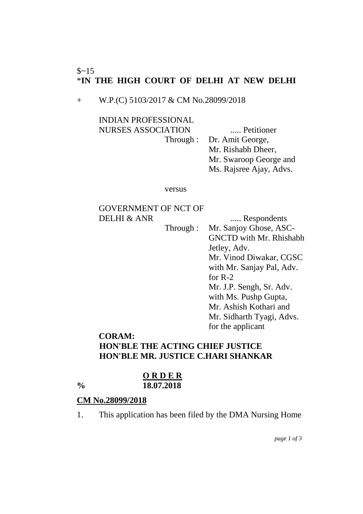### $$~15$ \***IN THE HIGH COURT OF DELHI AT NEW DELHI**

+ W.P.(C) 5103/2017 & CM No.28099/2018

INDIAN PROFESSIONAL NURSES ASSOCIATION ..... Petitioner

Through : Dr. Amit George, Mr. Rishabh Dheer, Mr. Swaroop George and Ms. Rajsree Ajay, Advs.

versus

## GOVERNMENT OF NCT OF DELHI & ANR ...... Respondents

Through : Mr. Sanjoy Ghose, ASC-GNCTD with Mr. Rhishabh Jetley, Adv. Mr. Vinod Diwakar, CGSC with Mr. Sanjay Pal, Adv. for R-2 Mr. J.P. Sengh, Sr. Adv. with Ms. Pushp Gupta, Mr. Ashish Kothari and Mr. Sidharth Tyagi, Advs. for the applicant

# **CORAM: HON'BLE THE ACTING CHIEF JUSTICE HON'BLE MR. JUSTICE C.HARI SHANKAR**

#### **O R D E R % 18.07.2018**

# **CM No.28099/2018**

1. This application has been filed by the DMA Nursing Home

*page 1 of 3*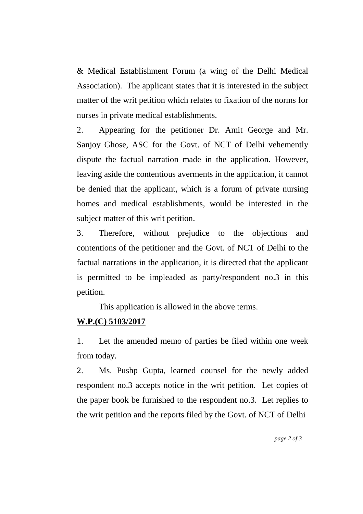& Medical Establishment Forum (a wing of the Delhi Medical Association). The applicant states that it is interested in the subject matter of the writ petition which relates to fixation of the norms for nurses in private medical establishments.

2. Appearing for the petitioner Dr. Amit George and Mr. Sanjoy Ghose, ASC for the Govt. of NCT of Delhi vehemently dispute the factual narration made in the application. However, leaving aside the contentious averments in the application, it cannot be denied that the applicant, which is a forum of private nursing homes and medical establishments, would be interested in the subject matter of this writ petition.

3. Therefore, without prejudice to the objections and contentions of the petitioner and the Govt. of NCT of Delhi to the factual narrations in the application, it is directed that the applicant is permitted to be impleaded as party/respondent no.3 in this petition.

This application is allowed in the above terms.

# **W.P.(C) 5103/2017**

1. Let the amended memo of parties be filed within one week from today.

2. Ms. Pushp Gupta, learned counsel for the newly added respondent no.3 accepts notice in the writ petition. Let copies of the paper book be furnished to the respondent no.3. Let replies to the writ petition and the reports filed by the Govt. of NCT of Delhi